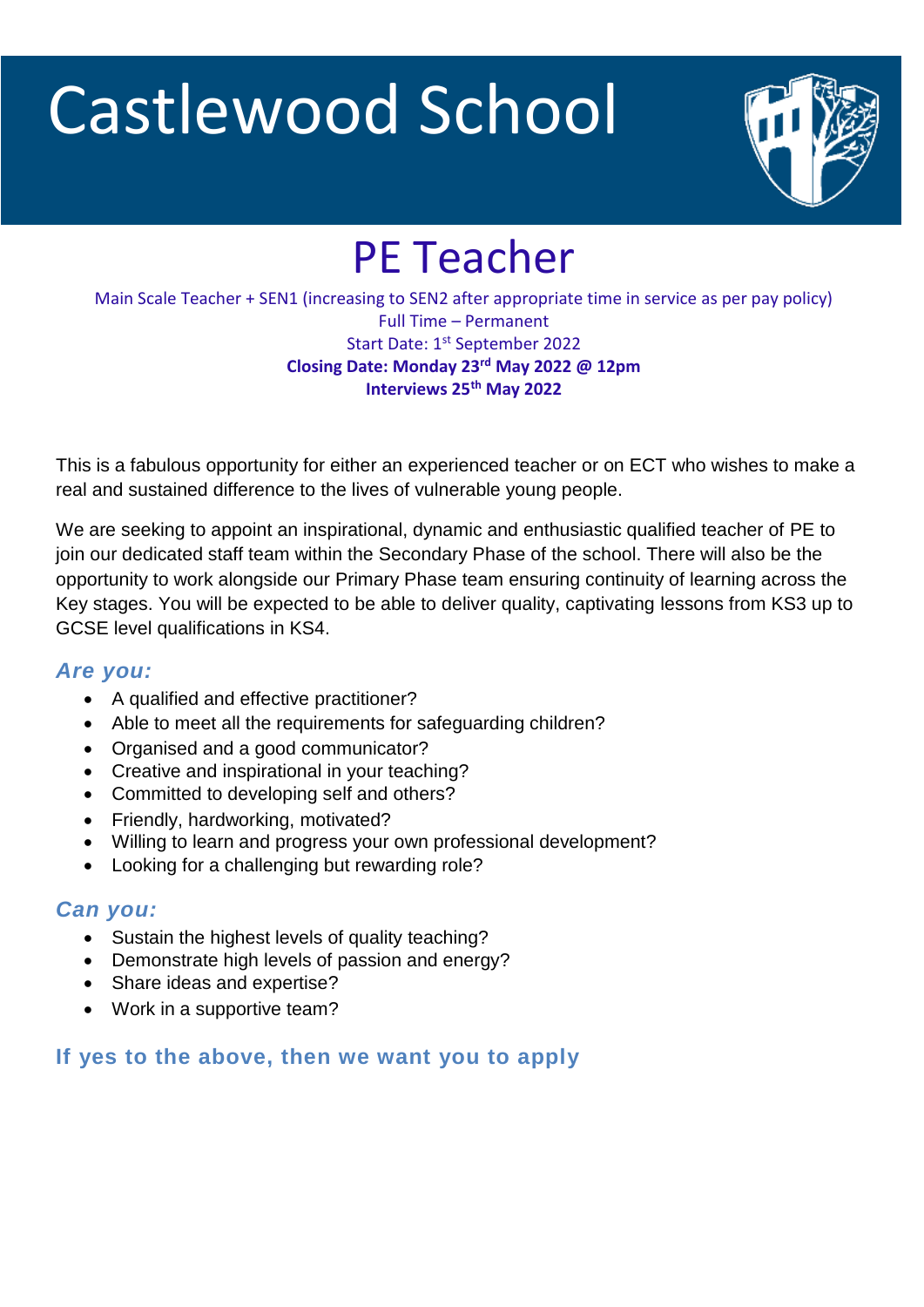# Castlewood School



# PE Teacher

Main Scale Teacher + SEN1 (increasing to SEN2 after appropriate time in service as per pay policy) Full Time – Permanent Start Date: 1<sup>st</sup> September 2022 **Closing Date: Monday 23rd May 2022 @ 12pm Interviews 25th May 2022**

This is a fabulous opportunity for either an experienced teacher or on ECT who wishes to make a real and sustained difference to the lives of vulnerable young people.

We are seeking to appoint an inspirational, dynamic and enthusiastic qualified teacher of PE to join our dedicated staff team within the Secondary Phase of the school. There will also be the opportunity to work alongside our Primary Phase team ensuring continuity of learning across the Key stages. You will be expected to be able to deliver quality, captivating lessons from KS3 up to GCSE level qualifications in KS4.

#### *Are you:*

- A qualified and effective practitioner?
- Able to meet all the requirements for safeguarding children?
- Organised and a good communicator?
- Creative and inspirational in your teaching?
- Committed to developing self and others?
- Friendly, hardworking, motivated?
- Willing to learn and progress your own professional development?
- Looking for a challenging but rewarding role?

#### *Can you:*

- Sustain the highest levels of quality teaching?
- Demonstrate high levels of passion and energy?
- Share ideas and expertise?
- Work in a supportive team?

#### **If yes to the above, then we want you to apply**